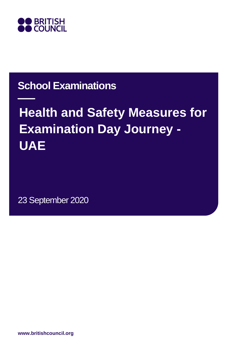

## **School Examinations**

# **Health and Safety Measures for Examination Day Journey - UAE**

23 September 2020

**www.britishcouncil.org**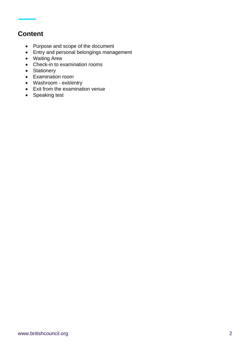### **Content**

- Purpose and scope of the document
- Entry and personal belongings management
- Waiting Area
- Check-in to examination rooms
- Stationery
- Examination room
- Washroom exit/entry
- Exit from the examination venue
- Speaking test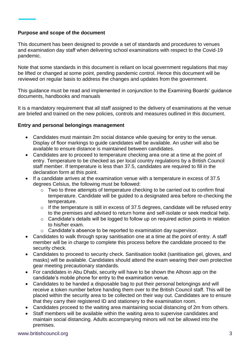#### **Purpose and scope of the document**

This document has been designed to provide a set of standards and procedures to venues and examination day staff when delivering school examinations with respect to the Covid-19 pandemic.

Note that some standards in this document is reliant on local government regulations that may be lifted or changed at some point, pending pandemic control. Hence this document will be reviewed on regular basis to address the changes and updates from the government.

This guidance must be read and implemented in conjunction to the Examining Boards' guidance documents, handbooks and manuals

It is a mandatory requirement that all staff assigned to the delivery of examinations at the venue are briefed and trained on the new policies, controls and measures outlined in this document.

#### **Entry and personal belongings management**

- Candidates must maintain 2m social distance while queuing for entry to the venue. Display of floor markings to guide candidates will be available. An usher will also be available to ensure distance is maintained between candidates.
- Candidates are to proceed to temperature checking area one at a time at the point of entry. Temperature to be checked as per local country regulations by a British Council staff member. If temperature is less than 37.5, candidates are required to fill in the declaration form at this point.
- If a candidate arrives at the examination venue with a temperature in excess of 37.5 degrees Celsius, the following must be followed:
	- $\sim$  Two to three attempts of temperature checking to be carried out to confirm final temperature. Candidate will be guided to a designated area before re-checking the temperature.
	- $\circ$  If the temperature is still in excess of 37.5 degrees, candidate will be refused entry to the premises and advised to return home and self-isolate or seek medical help.
	- o Candidate's details will be logged to follow up on required action points in relation to his/her exam.
	- o Candidate's absence to be reported to examination day supervisor.
- Candidates to walk through spray sanitisation one at a time at the point of entry. A staff member will be in charge to complete this process before the candidate proceed to the security check.
- Candidates to proceed to security check. Sanitisation toolkit (sanitisation gel, gloves, and masks) will be available. Candidates should attend the exam wearing their own protective gear meeting precautionary standards.
- For candidates in Abu Dhabi, security will have to be shown the Alhosn app on the candidate's mobile phone for entry to the examination venue.
- Candidates to be handed a disposable bag to put their personal belongings and will receive a token number before handing them over to the British Council staff. This will be placed within the security area to be collected on their way out. Candidates are to ensure that they carry their registered ID and stationery to the examination room.
- Candidates proceed to the waiting area maintaining social distancing of 2m from others.
- Staff members will be available within the waiting area to supervise candidates and maintain social distancing. Adults accompanying minors will not be allowed into the premises.

#### www.britishcouncil.org 3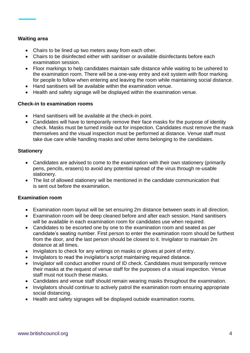#### **Waiting area**

- Chairs to be lined up two meters away from each other.
- Chairs to be disinfected either with sanitiser or available disinfectants before each examination session.
- Floor markings to help candidates maintain safe distance while waiting to be ushered to the examination room. There will be a one-way entry and exit system with floor marking for people to follow when entering and leaving the room while maintaining social distance.
- Hand sanitisers will be available within the examination venue.
- Health and safety signage will be displayed within the examination venue.

#### **Check-in to examination rooms**

- Hand sanitisers will be available at the check-in point.
- Candidates will have to temporarily remove their face masks for the purpose of identity check. Masks must be turned inside out for inspection. Candidates must remove the mask themselves and the visual inspection must be performed at distance. Venue staff must take due care while handling masks and other items belonging to the candidates.

#### **Stationery**

- Candidates are advised to come to the examination with their own stationery (primarily pens, pencils, erasers) to avoid any potential spread of the virus through re-usable stationery.
- The list of allowed stationery will be mentioned in the candidate communication that is sent out before the examination.

#### **Examination room**

- Examination room layout will be set ensuring 2m distance between seats in all direction.
- Examination room will be deep cleaned before and after each session. Hand sanitisers will be available in each examination room for candidates use when required.
- Candidates to be escorted one by one to the examination room and seated as per candidate's seating number. First person to enter the examination room should be furthest from the door, and the last person should be closest to it. Invigilator to maintain 2m distance at all times.
- Invigilators to check for any writings on masks or gloves at point of entry.
- Invigilators to read the invigilator's script maintaining required distance.
- Invigilator will conduct another round of ID check. Candidates must temporarily remove their masks at the request of venue staff for the purposes of a visual inspection. Venue staff must not touch these masks.
- Candidates and venue staff should remain wearing masks throughout the examination.
- Invigilators should continue to actively patrol the examination room ensuring appropriate social distancing.
- Health and safety signages will be displayed outside examination rooms.